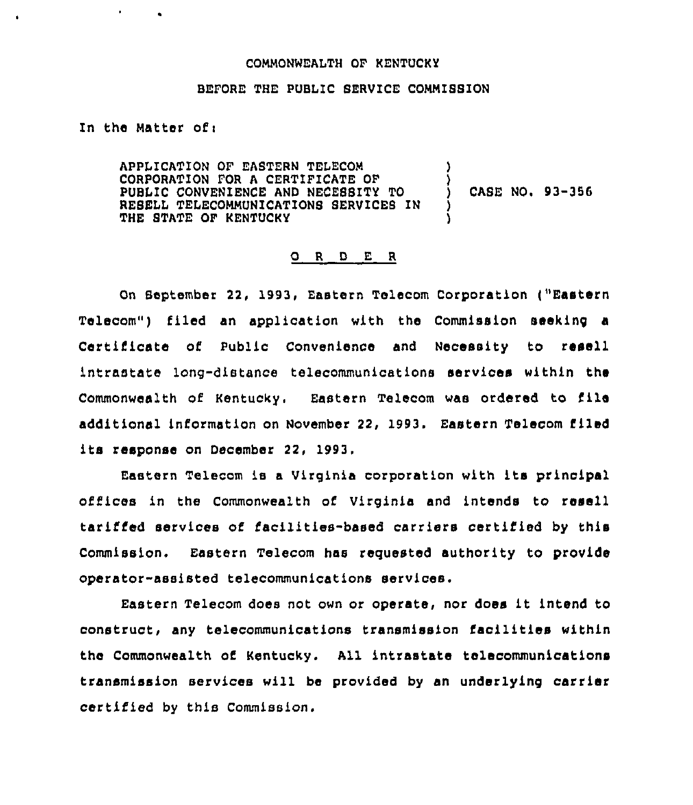## COMMONNEALTH OF KENTUCKY

## BEFORE THE PUBLIC SERVICE COMMISSION

In the Matter of <sup>i</sup>

APPlICATION OF EASTERN TELECOM CORPORATION FOR A CERTIFICATE OF PUBLIC CONVENIENCE AND NECESSITY TO RESELL TELECOMMUNICATIONS SERVICES IN THE STATE OF KENTUCKY ) ) CASE NO. 93-356 ) )

## O R D E R

On September 22, 1993, Eastern Telecom Corporation t"Eastern Telecom") filed an application with the Commission seeking a Certificate of Public Convenience and Necessity to resell intrastate long-distance telecommunications services within the Commonwealth of Kentucky. Eastern Telecom wae ordered to file additional information on November 22, 1993. Eastern Telecom filed its response on December 22, 1993.

Eastern Telecom is <sup>a</sup> Virginia corporation with its prinoipal offices in the Commonwealth of Virginia and intends to resell tariffed services of facilities-based carriers certified by this Commission. Eastern Telecom has requested authority to provide operator-assisted telecommunications services.

Eastern Telecom does not own or operate, nor does it intend to construct, any telecommunications transmission facilities within the Commonwealth of Kentucky. All intrastate telecommunications transmission services will be provided by an underlying carrier certified by this Commission.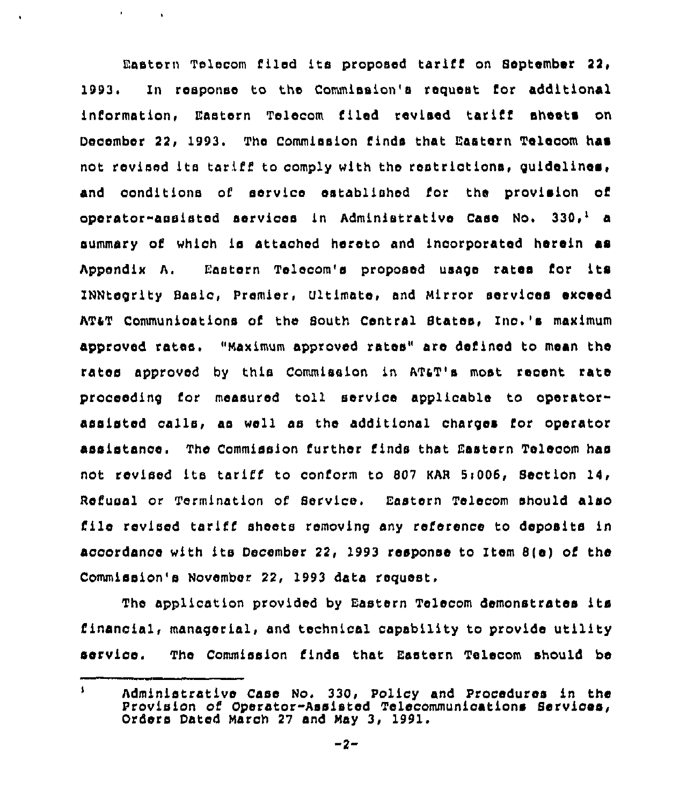Eastern Telecom filed its proposed tariff on September 22, 1993. In response to the Commission's request for additional information, Eastern Telecom filed revised tariff sheets on December 22, 1993. The Commission finds that Eastern Telecom has not revised ita tariff to comply with the restrictions, guidelines, and conditions of service established for the provision of operator-assisted services in Administrative Case No.  $330<sub>r</sub><sup>1</sup>$  a summary of whioh is attached hereto and incorporated herein as Appendix A. Eastern Telecom's proposed usage rates for its INNtegrlty Basic, Premier, Vltimate, and Mirror services exceed ATST Communications of the South Central States, Inc.'s maximum approved rates, "Maximum approved rates" are defined to mean the rates approved by this Commission in ATST's most recent rate proceeding for measured toll service applicable to operatorassisted calla, as well aa the additional charges for operator assistance. The Commission further finds that Eastern Telecom has not revised ita tariff to conform to 807 KAR 5i006, Section 14> Refusal or Termination of Service. Eastern Telecom should also file revised tariff sheets removing any reference to deposits in accordance with its December 22, 1993 response to Item 8(e) of the Commission's November 22, 1993 date request,

 $\mathbf{F}^{\text{max}}_{\text{max}}$  and  $\mathbf{F}^{\text{max}}_{\text{max}}$ 

 $\ddot{\phantom{a}}$ 

The application provided by Eastern Telecom demonstrates its financial, managerial, and technical capability to provide utility service. The Commission finds that Eastern Telecom should be

 $\mathbf{I}$ Administrative Casa No, 330, Policy and Procedures in the Provision of Operator-Assisted Telecommunications Services, Orders Dated March 27 and May 3, 1991.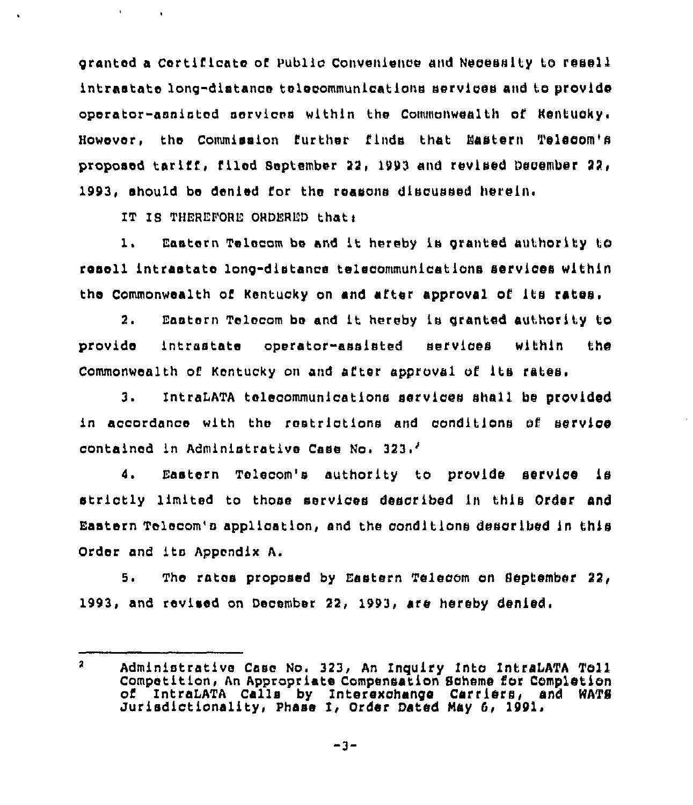granted a certificate of public Convenience and Necessity to resell intrastate long-distance telecommunications services and to provide operator-assisted services within the Commonwealth of Rentucky. However, the Commission further finds that Eastern Telecom's proposed tariff, filed September 22, 1993 and revised December 22, 1993, should be denied for the reasons discussed herein.

IT IS THEREFORE ORDERED that:

 $\sim 10$ 

1, Eastern Telocom be and lt hereby is granted authority to resell intrastate long-distance telecommunications services within the Commonwealth of Kentucky on and after approval of its rates.

2. Eastern Telecom be and it hereby ls granted authority to provide intrastate operator-assisted services within the Commonwealth of Kentucky on and after approval of its rates.

3. IntraLATA telecommunications services shall be provided in accordance with the restrictions and conditions of service contained in Administrative Case No. 323

4. Eastern Tolecom's authority to provide service is strictly limited to those services described Ln this Order and Eastern Telecom's application, and the conditions described in this Order and its Appendix A.

5. The rates proposed by Eastern Telecom on September 22, 1993, and revised on December 22, 1993, are hereby denied,

 $\mathbf{r}$ Administrative Case No. 323, An Inquiry Into IntraDATA Toll Competition, An Appropriate Compensation Scheme for Completion of IntraLATA Calls by Interexchange Carriers, and WATS<br>Jurisdictionality, Phase I, Order Dated May 6, 1991.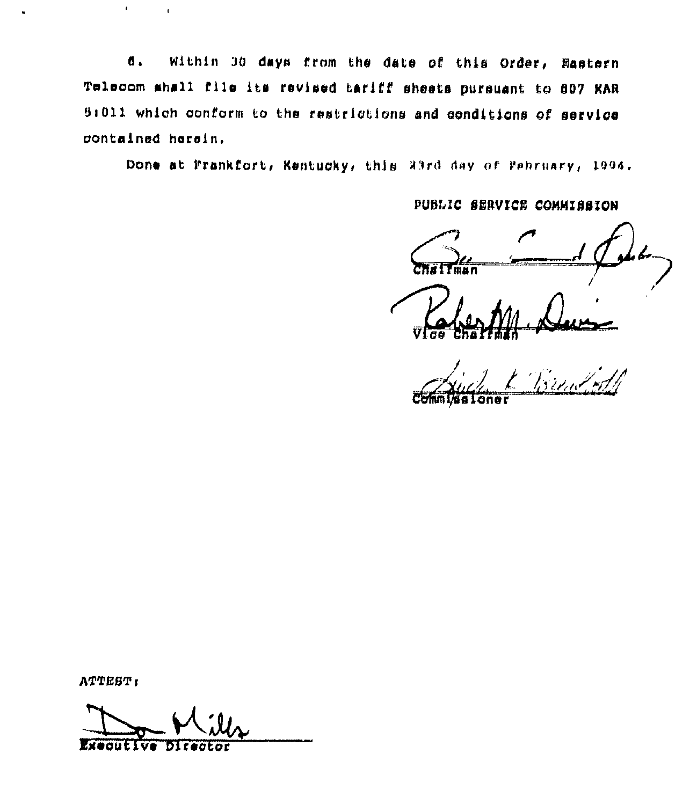6. Within 30 days from the date of this Order, Rastern Telecom shall file its revised tariff sheets pursuant to 807 KAR 5:011 which conform to the restrictions and conditions of service contained herein.

Done at Frankfort, Kentucky, this 23rd day of Pebruary, 1994.

PUBLIC SERVICE COMMISSION

ATTEST:

 $\mathbf{r}^{\pm}$ 

 $\ddot{\phantom{a}}$ 

**Executive** bir act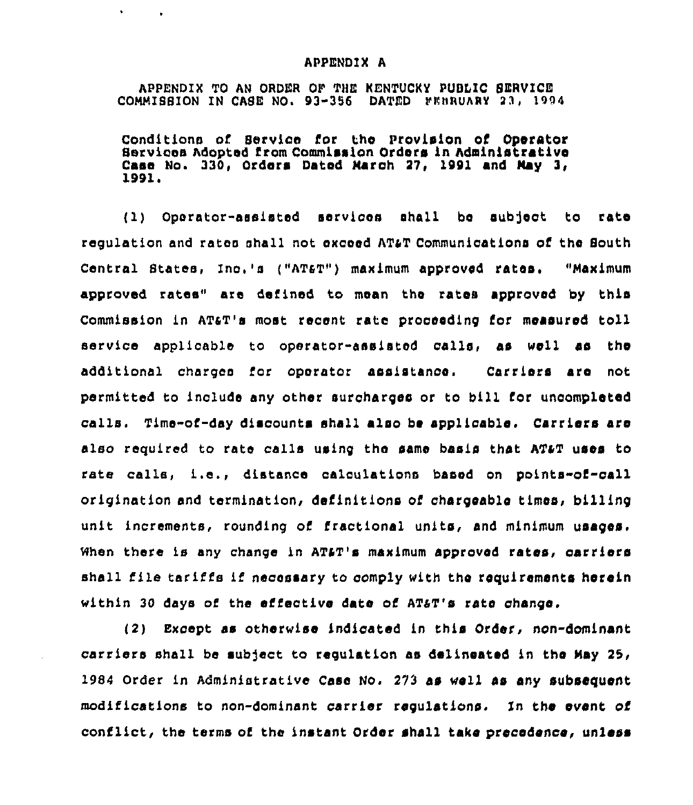## APPENDIX A

 $\mathbf{r}$ 

 $\sim 100$ 

APPENDIX TO AN ORDEA OF THE KENTUCKY PUBLIC SEAVICE COMMISSION IN CASE NO. 93-356 DATED FEBRUARY 23, 1994

Conditions of Service for thc Provision of Operator Services Adopted from Commission Orders in Administrative Case No. 330, Orders Dated Maroh 27, 1991 and May 3, 1991.

( 1) Operator-assisted services shall be sub]ect to rate regulation and rates shall not exceed AT&T Communications of the South Central States, Inc,'s ("ATaT") maximum approved rates, "Maximum approved rates" are defined to mean the rates approved by this Commission in ATaT's most recent rate proceeding for measured toll service applicable to operator-assisted calla, as well as the additional charges ior operator assistance. Carriers are not permitted to include any other suroharqes or to bill for uncompleted calls. Time-of-day discounts shall also be applicable. Carriers are also required to rate calls using the same basis that ATaT uses to rate calls, i.e., distance calculations based on points-of-call origination and termination, definitions of chargeable times, billing unit increments, rounding of fractional units, and minimum usages. When there is any change in AT&T's maximum approved rates, carriers shall file tariffs if necessary to comply with the requirements herein within 30 days of the effective date of AT&T's rate change.

(2) Except as otherwise indicated in this Order, non-dominant carriers shall be subject to regulation as delineated in the May 25, 1984 Order in Administrative Case No. 273 as well as any subsequent modifications to non-dominant carrier regulations. In the avant of conflict, the terms of the instant Order shall take precedence, unless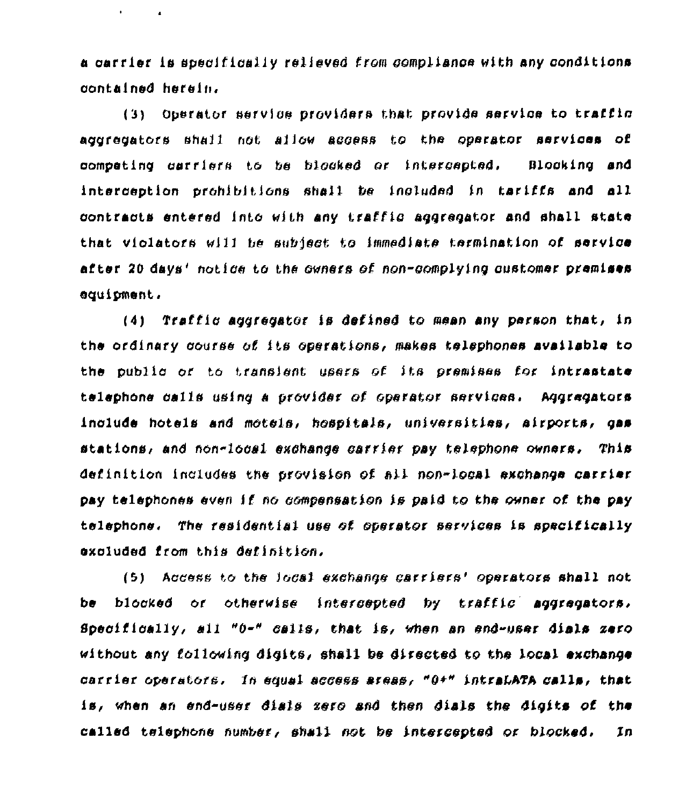a carrier is specifically relieved from compliance with any conditions contained herein.

 $\mathbf{r} = \mathbf{r} \times \mathbf{r}$  . The  $\mathbf{r}$ 

Operator service providers that provide service to traffic  $(3)$ aggregators shall not allow aggess to the operator services of competing carriers to be blocked or intercepted. Blocking and interception prohibitions shall be included in tariffs and all contracts entered into with any traffic accrecator and shall state that violators will be subject to immediate termination of service after 20 days' notice to the owners of non-complying qustomer premises equipment.

(4) Traffic accrecator is defined to mean any person that, in the ordinary course of its operations, makes telephones available to the public or to translent users of its premises for intrastate telephone calls using a provider of operator services. Aggregators include hotels and motels, hospitals, universities, airports, gas stations, and non-local exchange carrier pay telephone owners, This definition includes the provision of all non-local exchange carrier pay telephones even if no compensation is paid to the owner of the pay telephone. The residential use of operator services is specifically axcluded from this definition.

(5) Access to the local exchange carriers' operators shall not blocked or otherwise intercepted by traffic aggregators, be Specifically, all "0-" calls, that is, when an end-user dials zero without any following digits, shall be directed to the local exchange carrier operators, In equal access areas, "0+" intraLATA calls, that is, when an end-user dials zero and then dials the digits of the called telephone number, shall not be intercepted or blocked.  $In$